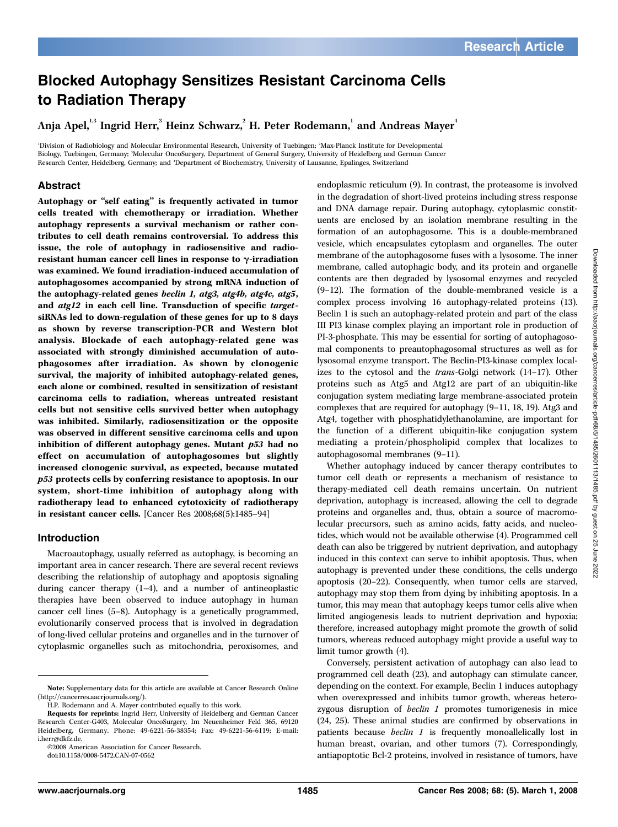# Blocked Autophagy Sensitizes Resistant Carcinoma Cells to Radiation Therapy

Anja Apel, $^{\textrm{1,3}}$  Ingrid Herr, $^{\textrm{3}}$  Heinz Schwarz, $^{\textrm{2}}$  H. Peter Rodemann, $^{\textrm{1}}$  and Andreas Mayer $^{\textrm{4}}$ 

1 Division of Radiobiology and Molecular Environmental Research, University of Tuebingen; <sup>2</sup> Max-Planck Institute for Developmental Biology, Tuebingen, Germany; <sup>3</sup>Molecular OncoSurgery, Department of General Surgery, University of Heidelberg and German Cancer Research Center, Heidelberg, Germany; and <sup>4</sup> Department of Biochemistry, University of Lausanne, Epalinges, Switzerland

## Abstract

Autophagy or ''self eating'' is frequently activated in tumor cells treated with chemotherapy or irradiation. Whether autophagy represents a survival mechanism or rather contributes to cell death remains controversial. To address this issue, the role of autophagy in radiosensitive and radioresistant human cancer cell lines in response to  $\gamma$ -irradiation was examined. We found irradiation-induced accumulation of autophagosomes accompanied by strong mRNA induction of the autophagy-related genes beclin 1, atg3, atg4b, atg4c, atg5, and atg12 in each cell line. Transduction of specific targetsiRNAs led to down-regulation of these genes for up to 8 days as shown by reverse transcription-PCR and Western blot analysis. Blockade of each autophagy-related gene was associated with strongly diminished accumulation of autophagosomes after irradiation. As shown by clonogenic survival, the majority of inhibited autophagy-related genes, each alone or combined, resulted in sensitization of resistant carcinoma cells to radiation, whereas untreated resistant cells but not sensitive cells survived better when autophagy was inhibited. Similarly, radiosensitization or the opposite was observed in different sensitive carcinoma cells and upon inhibition of different autophagy genes. Mutant p53 had no effect on accumulation of autophagosomes but slightly increased clonogenic survival, as expected, because mutated p53 protects cells by conferring resistance to apoptosis. In our system, short-time inhibition of autophagy along with radiotherapy lead to enhanced cytotoxicity of radiotherapy in resistant cancer cells. [Cancer Res 2008;68(5):1485–94]

#### Introduction

Macroautophagy, usually referred as autophagy, is becoming an important area in cancer research. There are several recent reviews describing the relationship of autophagy and apoptosis signaling during cancer therapy (1–4), and a number of antineoplastic therapies have been observed to induce autophagy in human cancer cell lines (5–8). Autophagy is a genetically programmed, evolutionarily conserved process that is involved in degradation of long-lived cellular proteins and organelles and in the turnover of cytoplasmic organelles such as mitochondria, peroxisomes, and

endoplasmic reticulum (9). In contrast, the proteasome is involved in the degradation of short-lived proteins including stress response and DNA damage repair. During autophagy, cytoplasmic constituents are enclosed by an isolation membrane resulting in the formation of an autophagosome. This is a double-membraned vesicle, which encapsulates cytoplasm and organelles. The outer membrane of the autophagosome fuses with a lysosome. The inner membrane, called autophagic body, and its protein and organelle contents are then degraded by lysosomal enzymes and recycled (9–12). The formation of the double-membraned vesicle is a complex process involving 16 autophagy-related proteins (13). Beclin 1 is such an autophagy-related protein and part of the class III PI3 kinase complex playing an important role in production of PI-3-phosphate. This may be essential for sorting of autophagosomal components to preautophagosomal structures as well as for lysosomal enzyme transport. The Beclin-PI3-kinase complex localizes to the cytosol and the trans-Golgi network (14–17). Other proteins such as Atg5 and Atg12 are part of an ubiquitin-like conjugation system mediating large membrane-associated protein complexes that are required for autophagy (9–11, 18, 19). Atg3 and Atg4, together with phosphatidylethanolamine, are important for the function of a different ubiquitin-like conjugation system mediating a protein/phospholipid complex that localizes to autophagosomal membranes (9–11).

Whether autophagy induced by cancer therapy contributes to tumor cell death or represents a mechanism of resistance to therapy-mediated cell death remains uncertain. On nutrient deprivation, autophagy is increased, allowing the cell to degrade proteins and organelles and, thus, obtain a source of macromolecular precursors, such as amino acids, fatty acids, and nucleotides, which would not be available otherwise (4). Programmed cell death can also be triggered by nutrient deprivation, and autophagy induced in this context can serve to inhibit apoptosis. Thus, when autophagy is prevented under these conditions, the cells undergo apoptosis (20–22). Consequently, when tumor cells are starved, autophagy may stop them from dying by inhibiting apoptosis. In a tumor, this may mean that autophagy keeps tumor cells alive when limited angiogenesis leads to nutrient deprivation and hypoxia; therefore, increased autophagy might promote the growth of solid tumors, whereas reduced autophagy might provide a useful way to limit tumor growth (4).

Conversely, persistent activation of autophagy can also lead to programmed cell death (23), and autophagy can stimulate cancer, depending on the context. For example, Beclin 1 induces autophagy when overexpressed and inhibits tumor growth, whereas heterozygous disruption of beclin 1 promotes tumorigenesis in mice (24, 25). These animal studies are confirmed by observations in patients because beclin 1 is frequently monoallelically lost in human breast, ovarian, and other tumors (7). Correspondingly, antiapoptotic Bcl-2 proteins, involved in resistance of tumors, have

Note: Supplementary data for this article are available at Cancer Research Online (http://cancerres.aacrjournals.org/).

H.P. Rodemann and A. Mayer contributed equally to this work.

Requests for reprints: Ingrid Herr, University of Heidelberg and German Cancer Research Center-G403, Molecular OncoSurgery, Im Neuenheimer Feld 365, 69120 Heidelberg, Germany. Phone: 49-6221-56-38354; Fax: 49-6221-56-6119; E-mail: i.herr@dkfz.de.

I2008 American Association for Cancer Research.

doi:10.1158/0008-5472.CAN-07-0562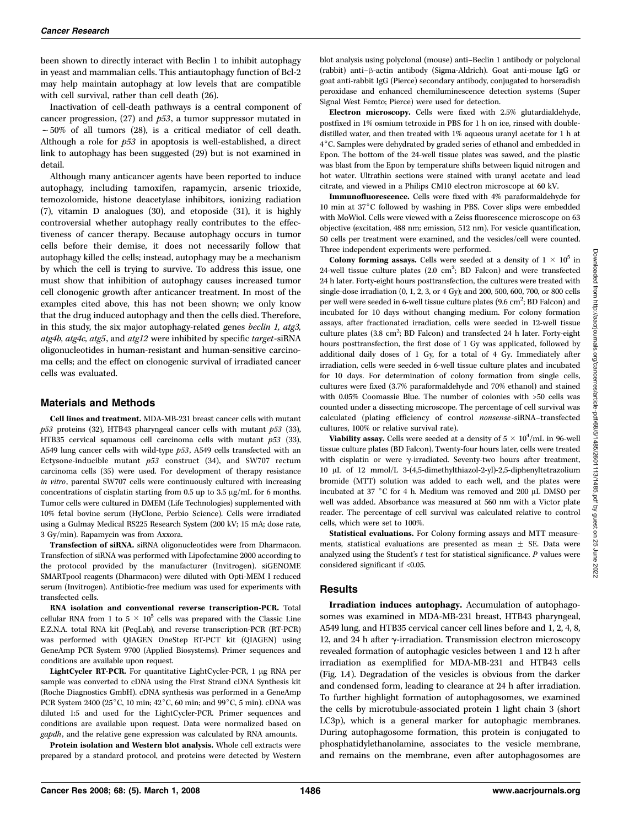been shown to directly interact with Beclin 1 to inhibit autophagy in yeast and mammalian cells. This antiautophagy function of Bcl-2 may help maintain autophagy at low levels that are compatible with cell survival, rather than cell death (26).

Inactivation of cell-death pathways is a central component of cancer progression,  $(27)$  and  $p53$ , a tumor suppressor mutated in  $\sim$  50% of all tumors (28), is a critical mediator of cell death. Although a role for p53 in apoptosis is well-established, a direct link to autophagy has been suggested (29) but is not examined in detail.

Although many anticancer agents have been reported to induce autophagy, including tamoxifen, rapamycin, arsenic trioxide, temozolomide, histone deacetylase inhibitors, ionizing radiation (7), vitamin D analogues (30), and etoposide (31), it is highly controversial whether autophagy really contributes to the effectiveness of cancer therapy. Because autophagy occurs in tumor cells before their demise, it does not necessarily follow that autophagy killed the cells; instead, autophagy may be a mechanism by which the cell is trying to survive. To address this issue, one must show that inhibition of autophagy causes increased tumor cell clonogenic growth after anticancer treatment. In most of the examples cited above, this has not been shown; we only know that the drug induced autophagy and then the cells died. Therefore, in this study, the six major autophagy-related genes beclin 1, atg3, atg4b, atg4c, atg5, and atg12 were inhibited by specific target-siRNA oligonucleotides in human-resistant and human-sensitive carcinoma cells; and the effect on clonogenic survival of irradiated cancer cells was evaluated.

### Materials and Methods

Cell lines and treatment. MDA-MB-231 breast cancer cells with mutant  $p53$  proteins (32), HTB43 pharyngeal cancer cells with mutant  $p53$  (33), HTB35 cervical squamous cell carcinoma cells with mutant  $p53$  (33), A549 lung cancer cells with wild-type p53, A549 cells transfected with an Ectysone-inducible mutant p53 construct (34), and SW707 rectum carcinoma cells (35) were used. For development of therapy resistance in vitro, parental SW707 cells were continuously cultured with increasing concentrations of cisplatin starting from  $0.5$  up to  $3.5 \,\mathrm{\mu g/mL}$  for 6 months. Tumor cells were cultured in DMEM (Life Technologies) supplemented with 10% fetal bovine serum (HyClone, Perbio Science). Cells were irradiated using a Gulmay Medical RS225 Research System (200 kV; 15 mA; dose rate, 3 Gy/min). Rapamycin was from Axxora.

Transfection of siRNA. siRNA oligonucleotides were from Dharmacon. Transfection of siRNA was performed with Lipofectamine 2000 according to the protocol provided by the manufacturer (Invitrogen). siGENOME SMARTpool reagents (Dharmacon) were diluted with Opti-MEM I reduced serum (Invitrogen). Antibiotic-free medium was used for experiments with transfected cells.

RNA isolation and conventional reverse transcription-PCR. Total cellular RNA from 1 to  $5 \times 10^5$  cells was prepared with the Classic Line E.Z.N.A. total RNA kit (PeqLab), and reverse transcription-PCR (RT-PCR) was performed with QIAGEN OneStep RT-PCT kit (QIAGEN) using GeneAmp PCR System 9700 (Applied Biosystems). Primer sequences and conditions are available upon request.

LightCycler RT-PCR. For quantitative LightCycler-PCR, 1 µg RNA per sample was converted to cDNA using the First Strand cDNA Synthesis kit (Roche Diagnostics GmbH). cDNA synthesis was performed in a GeneAmp PCR System 2400 (25 $^{\circ}$ C, 10 min; 42 $^{\circ}$ C, 60 min; and 99 $^{\circ}$ C, 5 min). cDNA was diluted 1:5 and used for the LightCycler-PCR. Primer sequences and conditions are available upon request. Data were normalized based on gapdh, and the relative gene expression was calculated by RNA amounts.

Protein isolation and Western blot analysis. Whole cell extracts were prepared by a standard protocol, and proteins were detected by Western blot analysis using polyclonal (mouse) anti–Beclin 1 antibody or polyclonal (rabbit) anti- $\beta$ -actin antibody (Sigma-Aldrich). Goat anti-mouse IgG or goat anti-rabbit IgG (Pierce) secondary antibody, conjugated to horseradish peroxidase and enhanced chemiluminescence detection systems (Super Signal West Femto; Pierce) were used for detection.

Electron microscopy. Cells were fixed with 2.5% glutardialdehyde, postfixed in 1% osmium tetroxide in PBS for 1 h on ice, rinsed with doubledistilled water, and then treated with 1% aqueous uranyl acetate for 1 h at 4°C. Samples were dehydrated by graded series of ethanol and embedded in Epon. The bottom of the 24-well tissue plates was sawed, and the plastic was blast from the Epon by temperature shifts between liquid nitrogen and hot water. Ultrathin sections were stained with uranyl acetate and lead citrate, and viewed in a Philips CM10 electron microscope at 60 kV.

Immunofluorescence. Cells were fixed with 4% paraformaldehyde for 10 min at 37°C followed by washing in PBS. Cover slips were embedded with MoWiol. Cells were viewed with a Zeiss fluorescence microscope on 63 objective (excitation, 488 nm; emission, 512 nm). For vesicle quantification, 50 cells per treatment were examined, and the vesicles/cell were counted. Three independent experiments were performed.

Colony forming assays. Cells were seeded at a density of  $1 \times 10^5$  in 24-well tissue culture plates (2.0 cm<sup>2</sup>; BD Falcon) and were transfected 24 h later. Forty-eight hours posttransfection, the cultures were treated with single-dose irradiation (0, 1, 2, 3, or 4 Gy); and 200, 500, 600, 700, or 800 cells per well were seeded in 6-well tissue culture plates (9.6 cm<sup>2</sup>; BD Falcon) and incubated for 10 days without changing medium. For colony formation assays, after fractionated irradiation, cells were seeded in 12-well tissue culture plates (3.8 cm<sup>2</sup>; BD Falcon) and transfected 24 h later. Forty-eight hours posttransfection, the first dose of 1 Gy was applicated, followed by additional daily doses of 1 Gy, for a total of 4 Gy. Immediately after irradiation, cells were seeded in 6-well tissue culture plates and incubated for 10 days. For determination of colony formation from single cells, cultures were fixed (3.7% paraformaldehyde and 70% ethanol) and stained with 0.05% Coomassie Blue. The number of colonies with >50 cells was counted under a dissecting microscope. The percentage of cell survival was calculated (plating efficiency of control nonsense -siRNA–transfected cultures, 100% or relative survival rate).

Viability assay. Cells were seeded at a density of  $5 \times 10^4/\mathrm{mL}$  in 96-well tissue culture plates (BD Falcon). Twenty-four hours later, cells were treated with cisplatin or were  $\gamma$ -irradiated. Seventy-two hours after treatment, 10 AL of 12 mmol/L 3-(4,5-dimethylthiazol-2-yl)-2,5-diphenyltetrazolium bromide (MTT) solution was added to each well, and the plates were incubated at 37  $\degree$ C for 4 h. Medium was removed and 200  $\mu$ L DMSO per well was added. Absorbance was measured at 560 nm with a Victor plate reader. The percentage of cell survival was calculated relative to control cells, which were set to 100%.

Statistical evaluations. For Colony forming assays and MTT measurements, statistical evaluations are presented as mean  $\pm$  SE. Data were analyzed using the Student's  $t$  test for statistical significance.  $P$  values were considered significant if <0.05.

#### Results

Irradiation induces autophagy. Accumulation of autophagosomes was examined in MDA-MB-231 breast, HTB43 pharyngeal, A549 lung, and HTB35 cervical cancer cell lines before and 1, 2, 4, 8, 12, and 24 h after  $\gamma$ -irradiation. Transmission electron microscopy revealed formation of autophagic vesicles between 1 and 12 h after irradiation as exemplified for MDA-MB-231 and HTB43 cells (Fig. 1A). Degradation of the vesicles is obvious from the darker and condensed form, leading to clearance at 24 h after irradiation. To further highlight formation of autophagosomes, we examined the cells by microtubule-associated protein 1 light chain 3 (short LC3p), which is a general marker for autophagic membranes. During autophagosome formation, this protein is conjugated to phosphatidylethanolamine, associates to the vesicle membrane, and remains on the membrane, even after autophagosomes are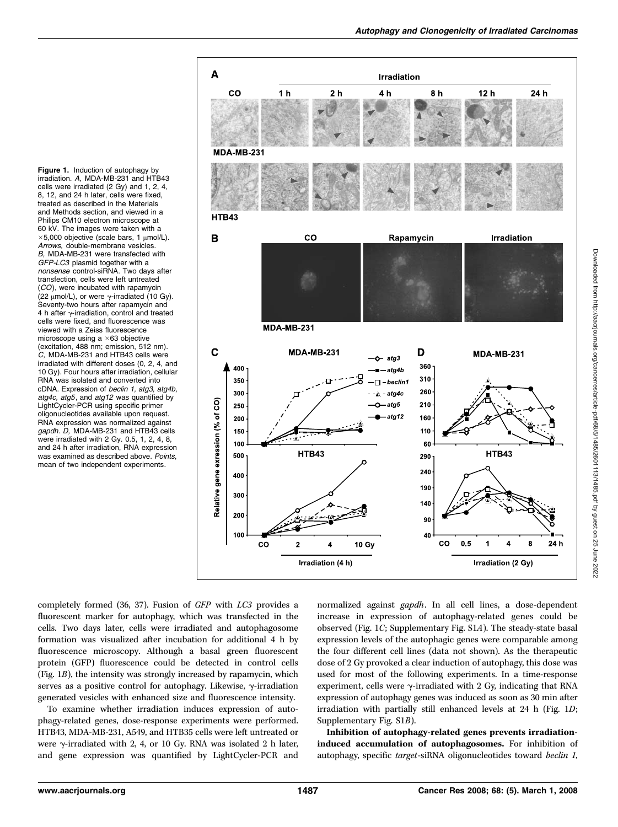Figure 1. Induction of autophagy by irradiation. A, MDA-MB-231 and HTB43 cells were irradiated (2 Gy) and 1, 2, 4, 8, 12, and 24 h later, cells were fixed, treated as described in the Materials and Methods section, and viewed in a Philips CM10 electron microscope at 60 kV. The images were taken with a  $\times$ 5,000 objective (scale bars, 1  $\mu$ mol/L). Arrows, double-membrane vesicles. B, MDA-MB-231 were transfected with GFP-LC3 plasmid together with a nonsense control-siRNA. Two days after transfection, cells were left untreated (CO), were incubated with rapamycin (22  $\mu$ mol/L), or were  $\gamma$ -irradiated (10 Gy). Seventy-two hours after rapamycin and 4 h after  $\gamma$ -irradiation, control and treated cells were fixed, and fluorescence was viewed with a Zeiss fluorescence microscope using a  $\times$  63 objective (excitation, 488 nm; emission, 512 nm). C, MDA-MB-231 and HTB43 cells were irradiated with different doses (0, 2, 4, and 10 Gy). Four hours after irradiation, cellular RNA was isolated and converted into cDNA. Expression of beclin 1, atg3, atg4b, atg4c, atg5, and atg12 was quantified by LightCycler-PCR using specific primer oligonucleotides available upon request. RNA expression was normalized against gapdh. D, MDA-MB-231 and HTB43 cells were irradiated with 2 Gy. 0.5, 1, 2, 4, 8, and 24 h after irradiation, RNA expression was examined as described above. Points, mean of two independent experiments.



completely formed (36, 37). Fusion of GFP with LC3 provides a fluorescent marker for autophagy, which was transfected in the cells. Two days later, cells were irradiated and autophagosome formation was visualized after incubation for additional 4 h by fluorescence microscopy. Although a basal green fluorescent protein (GFP) fluorescence could be detected in control cells (Fig. 1B), the intensity was strongly increased by rapamycin, which serves as a positive control for autophagy. Likewise,  $\gamma$ -irradiation generated vesicles with enhanced size and fluorescence intensity.

To examine whether irradiation induces expression of autophagy-related genes, dose-response experiments were performed. HTB43, MDA-MB-231, A549, and HTB35 cells were left untreated or were  $\gamma$ -irradiated with 2, 4, or 10 Gy. RNA was isolated 2 h later, and gene expression was quantified by LightCycler-PCR and normalized against gapdh. In all cell lines, a dose-dependent increase in expression of autophagy-related genes could be observed (Fig. 1C; Supplementary Fig. S1A). The steady-state basal expression levels of the autophagic genes were comparable among the four different cell lines (data not shown). As the therapeutic dose of 2 Gy provoked a clear induction of autophagy, this dose was used for most of the following experiments. In a time-response experiment, cells were  $\gamma$ -irradiated with 2 Gy, indicating that RNA expression of autophagy genes was induced as soon as 30 min after irradiation with partially still enhanced levels at 24 h (Fig. 1D; Supplementary Fig. S1B).

Inhibition of autophagy-related genes prevents irradiationinduced accumulation of autophagosomes. For inhibition of autophagy, specific target-siRNA oligonucleotides toward beclin 1,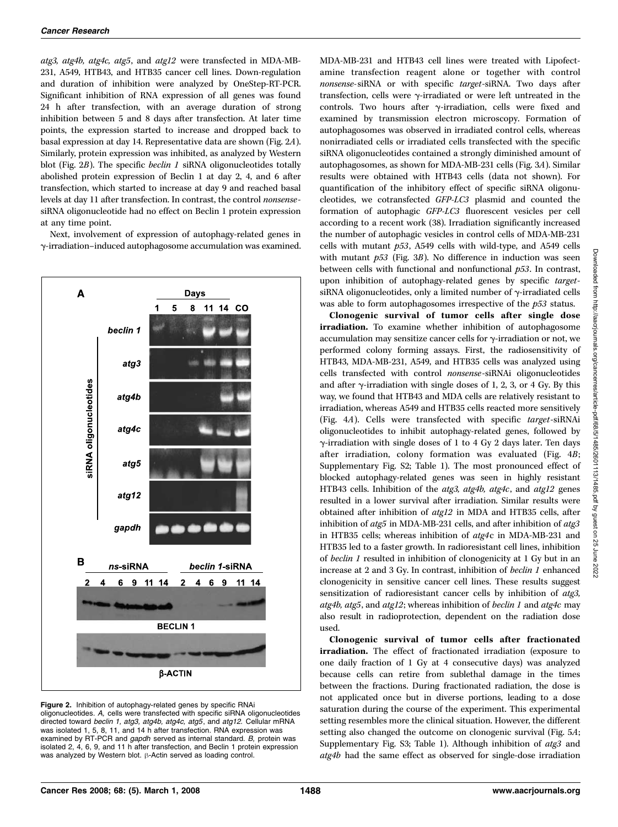atg3, atg4b, atg4c, atg5, and atg12 were transfected in MDA-MB-231, A549, HTB43, and HTB35 cancer cell lines. Down-regulation and duration of inhibition were analyzed by OneStep-RT-PCR. Significant inhibition of RNA expression of all genes was found 24 h after transfection, with an average duration of strong inhibition between 5 and 8 days after transfection. At later time points, the expression started to increase and dropped back to basal expression at day 14. Representative data are shown (Fig. 2A). Similarly, protein expression was inhibited, as analyzed by Western blot (Fig. 2B). The specific beclin 1 siRNA oligonucleotides totally abolished protein expression of Beclin 1 at day 2, 4, and 6 after transfection, which started to increase at day 9 and reached basal levels at day 11 after transfection. In contrast, the control nonsensesiRNA oligonucleotide had no effect on Beclin 1 protein expression at any time point.

Next, involvement of expression of autophagy-related genes in g-irradiation–induced autophagosome accumulation was examined.



Figure 2. Inhibition of autophagy-related genes by specific RNAi oligonucleotides. A, cells were transfected with specific siRNA oligonucleotides directed toward beclin 1, atg3, atg4b, atg4c, atg5, and atg12. Cellular mRNA was isolated 1, 5, 8, 11, and 14 h after transfection. RNA expression was examined by RT-PCR and gapdh served as internal standard. B, protein was isolated 2, 4, 6, 9, and 11 h after transfection, and Beclin 1 protein expression was analyzed by Western blot.  $\beta$ -Actin served as loading control.

MDA-MB-231 and HTB43 cell lines were treated with Lipofectamine transfection reagent alone or together with control nonsense-siRNA or with specific target-siRNA. Two days after transfection, cells were  $\gamma$ -irradiated or were left untreated in the controls. Two hours after  $\gamma$ -irradiation, cells were fixed and examined by transmission electron microscopy. Formation of autophagosomes was observed in irradiated control cells, whereas nonirradiated cells or irradiated cells transfected with the specific siRNA oligonucleotides contained a strongly diminished amount of autophagosomes, as shown for MDA-MB-231 cells (Fig. 3A). Similar results were obtained with HTB43 cells (data not shown). For quantification of the inhibitory effect of specific siRNA oligonucleotides, we cotransfected GFP-LC3 plasmid and counted the formation of autophagic GFP-LC3 fluorescent vesicles per cell according to a recent work (38). Irradiation significantly increased the number of autophagic vesicles in control cells of MDA-MB-231 cells with mutant p53, A549 cells with wild-type, and A549 cells with mutant  $p53$  (Fig. 3B). No difference in induction was seen between cells with functional and nonfunctional p53. In contrast, upon inhibition of autophagy-related genes by specific targetsiRNA oligonucleotides, only a limited number of  $\gamma$ -irradiated cells was able to form autophagosomes irrespective of the  $p53$  status.

Clonogenic survival of tumor cells after single dose irradiation. To examine whether inhibition of autophagosome accumulation may sensitize cancer cells for  $\gamma$ -irradiation or not, we performed colony forming assays. First, the radiosensitivity of HTB43, MDA-MB-231, A549, and HTB35 cells was analyzed using cells transfected with control nonsense-siRNAi oligonucleotides and after  $\gamma$ -irradiation with single doses of 1, 2, 3, or 4 Gy. By this way, we found that HTB43 and MDA cells are relatively resistant to irradiation, whereas A549 and HTB35 cells reacted more sensitively (Fig. 4A). Cells were transfected with specific target-siRNAi oligonucleotides to inhibit autophagy-related genes, followed by  $\gamma$ -irradiation with single doses of 1 to 4 Gy 2 days later. Ten days after irradiation, colony formation was evaluated (Fig. 4B; Supplementary Fig. S2; Table 1). The most pronounced effect of blocked autophagy-related genes was seen in highly resistant HTB43 cells. Inhibition of the atg3, atg4b, atg4c, and atg12 genes resulted in a lower survival after irradiation. Similar results were obtained after inhibition of atg12 in MDA and HTB35 cells, after inhibition of atg5 in MDA-MB-231 cells, and after inhibition of atg3 in HTB35 cells; whereas inhibition of atg4c in MDA-MB-231 and HTB35 led to a faster growth. In radioresistant cell lines, inhibition of beclin 1 resulted in inhibition of clonogenicity at 1 Gy but in an increase at 2 and 3 Gy. In contrast, inhibition of beclin 1 enhanced clonogenicity in sensitive cancer cell lines. These results suggest sensitization of radioresistant cancer cells by inhibition of atg3, atg4b, atg5, and atg12; whereas inhibition of beclin 1 and atg4c may also result in radioprotection, dependent on the radiation dose used.

Clonogenic survival of tumor cells after fractionated irradiation. The effect of fractionated irradiation (exposure to one daily fraction of 1 Gy at 4 consecutive days) was analyzed because cells can retire from sublethal damage in the times between the fractions. During fractionated radiation, the dose is not applicated once but in diverse portions, leading to a dose saturation during the course of the experiment. This experimental setting resembles more the clinical situation. However, the different setting also changed the outcome on clonogenic survival (Fig. 5A; Supplementary Fig. S3; Table 1). Although inhibition of atg3 and atg4b had the same effect as observed for single-dose irradiation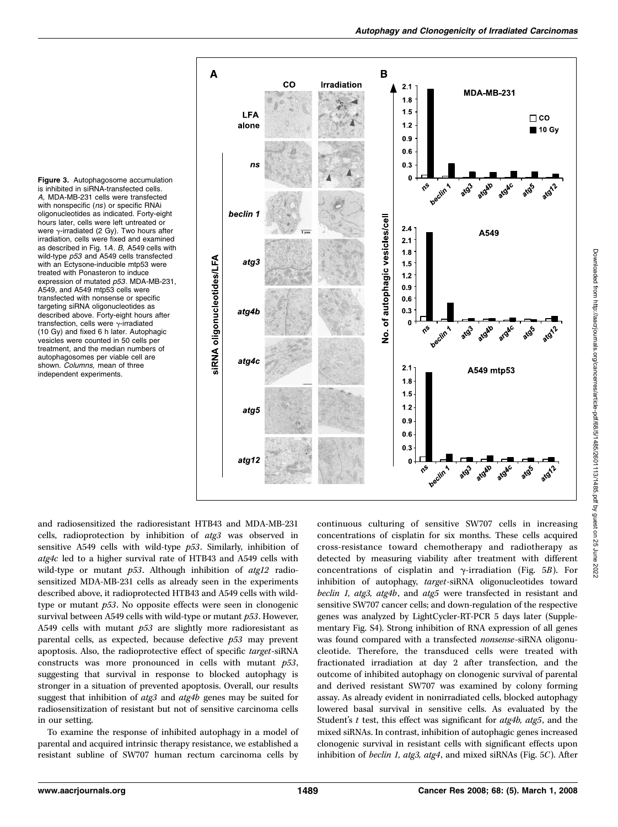

Figure 3. Autophagosome accumulation is inhibited in siRNA-transfected cells. A, MDA-MB-231 cells were transfected with nonspecific (ns) or specific RNAi oligonucleotides as indicated. Forty-eight hours later, cells were left untreated or were  $\gamma$ -irradiated (2 Gy). Two hours after irradiation, cells were fixed and examined as described in Fig. 1A. B, A549 cells with wild-type  $p53$  and A549 cells transfected with an Ectysone-inducible mtp53 were treated with Ponasteron to induce expression of mutated p53. MDA-MB-231, A549, and A549 mtp53 cells were transfected with nonsense or specific targeting siRNA oligonucleotides as described above. Forty-eight hours after transfection, cells were  $\gamma$ -irradiated (10 Gy) and fixed 6 h later. Autophagic vesicles were counted in 50 cells per treatment, and the median numbers of autophagosomes per viable cell are shown. Columns, mean of three independent experiments.

and radiosensitized the radioresistant HTB43 and MDA-MB-231 cells, radioprotection by inhibition of atg3 was observed in sensitive A549 cells with wild-type  $p53$ . Similarly, inhibition of atg4c led to a higher survival rate of HTB43 and A549 cells with wild-type or mutant  $p53$ . Although inhibition of  $atgl2$  radiosensitized MDA-MB-231 cells as already seen in the experiments described above, it radioprotected HTB43 and A549 cells with wildtype or mutant p53. No opposite effects were seen in clonogenic survival between A549 cells with wild-type or mutant p53. However, A549 cells with mutant  $p53$  are slightly more radioresistant as parental cells, as expected, because defective  $p53$  may prevent apoptosis. Also, the radioprotective effect of specific target-siRNA constructs was more pronounced in cells with mutant p53, suggesting that survival in response to blocked autophagy is stronger in a situation of prevented apoptosis. Overall, our results suggest that inhibition of *atg3* and *atg4b* genes may be suited for radiosensitization of resistant but not of sensitive carcinoma cells in our setting.

To examine the response of inhibited autophagy in a model of parental and acquired intrinsic therapy resistance, we established a resistant subline of SW707 human rectum carcinoma cells by

continuous culturing of sensitive SW707 cells in increasing concentrations of cisplatin for six months. These cells acquired cross-resistance toward chemotherapy and radiotherapy as detected by measuring viability after treatment with different concentrations of cisplatin and  $\gamma$ -irradiation (Fig. 5B). For inhibition of autophagy, target-siRNA oligonucleotides toward beclin 1, atg3, atg4b, and atg5 were transfected in resistant and sensitive SW707 cancer cells; and down-regulation of the respective genes was analyzed by LightCycler-RT-PCR 5 days later (Supplementary Fig. S4). Strong inhibition of RNA expression of all genes was found compared with a transfected nonsense-siRNA oligonucleotide. Therefore, the transduced cells were treated with fractionated irradiation at day 2 after transfection, and the outcome of inhibited autophagy on clonogenic survival of parental and derived resistant SW707 was examined by colony forming assay. As already evident in nonirradiated cells, blocked autophagy lowered basal survival in sensitive cells. As evaluated by the Student's  $t$  test, this effect was significant for  $atg4b$ ,  $atg5$ , and the mixed siRNAs. In contrast, inhibition of autophagic genes increased clonogenic survival in resistant cells with significant effects upon inhibition of beclin 1, atg3, atg4, and mixed siRNAs (Fig. 5C). After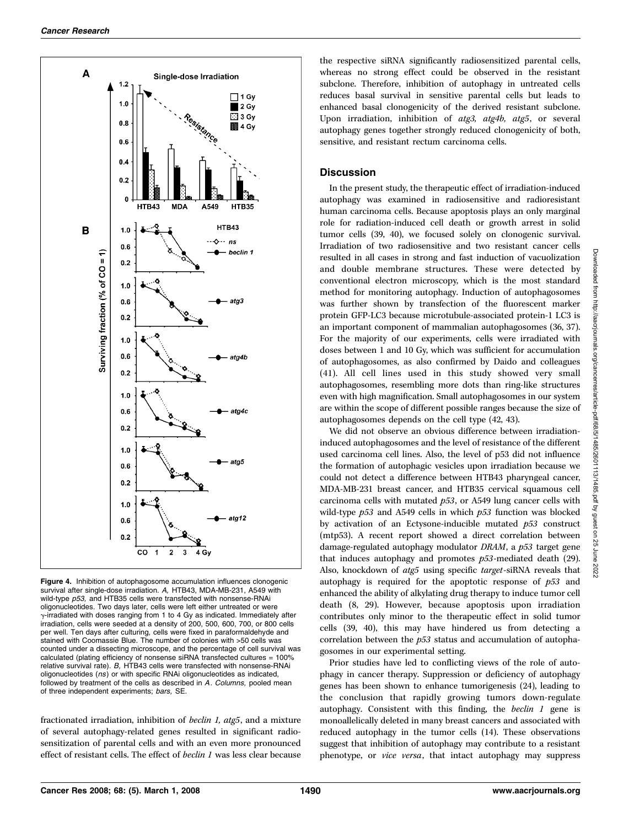![](_page_5_Figure_1.jpeg)

Figure 4. Inhibition of autophagosome accumulation influences clonogenic survival after single-dose irradiation. A, HTB43, MDA-MB-231, A549 with wild-type p53, and HTB35 cells were transfected with nonsense-RNAi oligonucleotides. Two days later, cells were left either untreated or were  $\gamma$ -irradiated with doses ranging from 1 to 4 Gy as indicated. Immediately after irradiation, cells were seeded at a density of 200, 500, 600, 700, or 800 cells per well. Ten days after culturing, cells were fixed in paraformaldehyde and stained with Coomassie Blue. The number of colonies with >50 cells was counted under a dissecting microscope, and the percentage of cell survival was calculated (plating efficiency of nonsense siRNA transfected cultures = 100% relative survival rate). B, HTB43 cells were transfected with nonsense-RNAi oligonucleotides (ns) or with specific RNAi oligonucleotides as indicated, followed by treatment of the cells as described in A. Columns, pooled mean of three independent experiments: bars, SE.

fractionated irradiation, inhibition of beclin 1, atg5, and a mixture of several autophagy-related genes resulted in significant radiosensitization of parental cells and with an even more pronounced effect of resistant cells. The effect of beclin 1 was less clear because the respective siRNA significantly radiosensitized parental cells, whereas no strong effect could be observed in the resistant subclone. Therefore, inhibition of autophagy in untreated cells reduces basal survival in sensitive parental cells but leads to enhanced basal clonogenicity of the derived resistant subclone. Upon irradiation, inhibition of atg3, atg4b, atg5, or several autophagy genes together strongly reduced clonogenicity of both, sensitive, and resistant rectum carcinoma cells.

## **Discussion**

In the present study, the therapeutic effect of irradiation-induced autophagy was examined in radiosensitive and radioresistant human carcinoma cells. Because apoptosis plays an only marginal role for radiation-induced cell death or growth arrest in solid tumor cells (39, 40), we focused solely on clonogenic survival. Irradiation of two radiosensitive and two resistant cancer cells resulted in all cases in strong and fast induction of vacuolization and double membrane structures. These were detected by conventional electron microscopy, which is the most standard method for monitoring autophagy. Induction of autophagosomes was further shown by transfection of the fluorescent marker protein GFP-LC3 because microtubule-associated protein-1 LC3 is an important component of mammalian autophagosomes (36, 37). For the majority of our experiments, cells were irradiated with doses between 1 and 10 Gy, which was sufficient for accumulation of autophagosomes, as also confirmed by Daido and colleagues (41). All cell lines used in this study showed very small autophagosomes, resembling more dots than ring-like structures even with high magnification. Small autophagosomes in our system are within the scope of different possible ranges because the size of autophagosomes depends on the cell type (42, 43).

We did not observe an obvious difference between irradiationinduced autophagosomes and the level of resistance of the different used carcinoma cell lines. Also, the level of p53 did not influence the formation of autophagic vesicles upon irradiation because we could not detect a difference between HTB43 pharyngeal cancer, MDA-MB-231 breast cancer, and HTB35 cervical squamous cell carcinoma cells with mutated p53, or A549 lung cancer cells with wild-type  $p53$  and A549 cells in which  $p53$  function was blocked by activation of an Ectysone-inducible mutated p53 construct (mtp53). A recent report showed a direct correlation between damage-regulated autophagy modulator DRAM, a p53 target gene that induces autophagy and promotes p53-mediated death (29). Also, knockdown of  $atg5$  using specific target-siRNA reveals that autophagy is required for the apoptotic response of  $p53$  and enhanced the ability of alkylating drug therapy to induce tumor cell death (8, 29). However, because apoptosis upon irradiation contributes only minor to the therapeutic effect in solid tumor cells (39, 40), this may have hindered us from detecting a correlation between the p53 status and accumulation of autophagosomes in our experimental setting.

Prior studies have led to conflicting views of the role of autophagy in cancer therapy. Suppression or deficiency of autophagy genes has been shown to enhance tumorigenesis (24), leading to the conclusion that rapidly growing tumors down-regulate autophagy. Consistent with this finding, the beclin 1 gene is monoallelically deleted in many breast cancers and associated with reduced autophagy in the tumor cells (14). These observations suggest that inhibition of autophagy may contribute to a resistant phenotype, or vice versa, that intact autophagy may suppress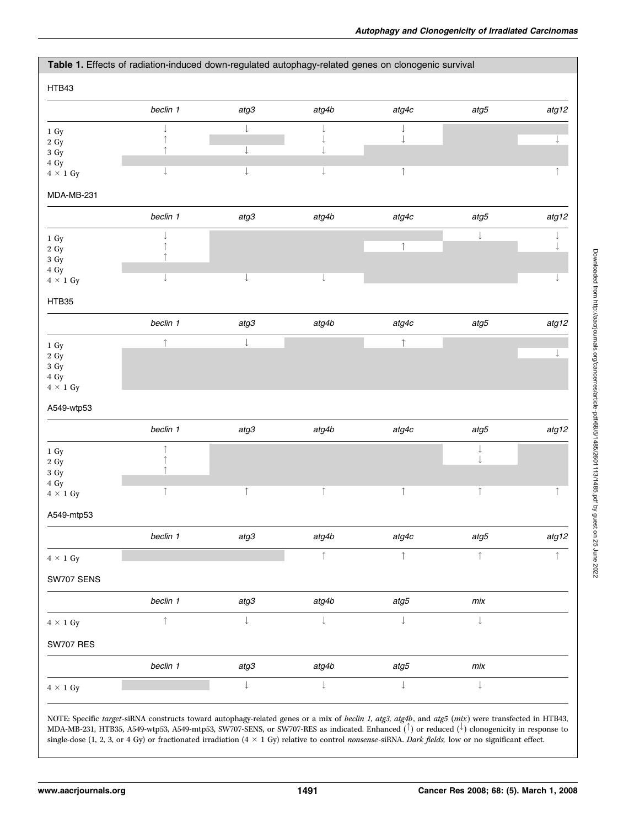| Table 1. Effects of radiation-induced down-regulated autophagy-related genes on clonogenic survival |                          |              |       |              |              |       |
|-----------------------------------------------------------------------------------------------------|--------------------------|--------------|-------|--------------|--------------|-------|
| HTB43                                                                                               |                          |              |       |              |              |       |
|                                                                                                     | beclin 1                 | atg3         | atg4b | atg4c        | atg5         | atg12 |
| 1 Gy                                                                                                | J                        | $\downarrow$ |       | ↓            |              |       |
| $2\,$ Gy $\,$                                                                                       |                          |              |       | J            |              |       |
| $3\,$ Gy<br>$4\,$ Gy                                                                                |                          |              |       |              |              |       |
| $4\,\times\,1$ Gy                                                                                   | $\overline{\phantom{a}}$ | -1           | T     | ↑            |              | ↑     |
| MDA-MB-231                                                                                          |                          |              |       |              |              |       |
|                                                                                                     | beclin 1                 | atg3         | atg4b | at g4c       | atg5         | atg12 |
| 1 Gy                                                                                                |                          |              |       |              | $\downarrow$ |       |
| $2\,$ Gy $\,$                                                                                       |                          |              |       | ↑            |              |       |
| $3\,$ Gy $\,$<br>4 Gy                                                                               |                          |              |       |              |              |       |
| $4\,\times\,1$ Gy                                                                                   | $\overline{\phantom{a}}$ | ↓            | ↓     |              |              |       |
| HTB35                                                                                               |                          |              |       |              |              |       |
|                                                                                                     | beclin 1                 | atg3         | atg4b | at g4c       | atg5         | atg12 |
| 1 Gy                                                                                                | $\uparrow$               | $\downarrow$ |       | $\uparrow$   |              |       |
| $2\,$ Gy $\,$                                                                                       |                          |              |       |              |              |       |
| $3\,$ Gy                                                                                            |                          |              |       |              |              |       |
| $4\,$ Gy<br>$4$ $\times$ 1 Gy                                                                       |                          |              |       |              |              |       |
| A549-wtp53                                                                                          |                          |              |       |              |              |       |
|                                                                                                     | beclin 1                 | atg3         | atg4b | atg4c        | atg5         | atg12 |
| 1 Gy                                                                                                |                          |              |       |              | J            |       |
| $2\,$ Gy $\,$                                                                                       |                          |              |       |              |              |       |
| $3\,$ Gy                                                                                            |                          |              |       |              |              |       |
| 4 Gy<br>$4\,\times\,1$ Gy                                                                           | 1                        | 1            |       | 1            | 1            |       |
| A549-mtp53                                                                                          |                          |              |       |              |              |       |
|                                                                                                     | beclin 1                 | atg3         | atg4b | at g4c       | atg5         | atg12 |
| $4 \times 1$ Gy                                                                                     |                          |              | ↑     | $\uparrow$   | $\uparrow$   | ↑     |
| SW707 SENS                                                                                          |                          |              |       |              |              |       |
|                                                                                                     | beclin 1                 | atg3         | atg4b | atg5         | $\it mix$    |       |
| $4$ $\times$ 1 Gy                                                                                   | $\uparrow$               | $\downarrow$ | ↓     | $\downarrow$ | $\downarrow$ |       |
| <b>SW707 RES</b>                                                                                    |                          |              |       |              |              |       |
|                                                                                                     | beclin 1                 | atg3         | atg4b | atg5         | $\it mix$    |       |
|                                                                                                     |                          |              |       | ţ            |              |       |

NOTE: Specific target-siRNA constructs toward autophagy-related genes or a mix of beclin 1, atg3, atg4b, and atg5 (mix) were transfected in HTB43, MDA-MB-231, HTB35, A549-wtp53, A549-mtp53, SW707-SENS, or SW707-RES as indicated. Enhanced  $(\uparrow)$  or reduced  $(\downarrow)$  clonogenicity in response to single-dose (1, 2, 3, or 4 Gy) or fractionated irradiation (4  $\times$  1 Gy) relative to control nonsense-siRNA. Dark fields, low or no significant effect.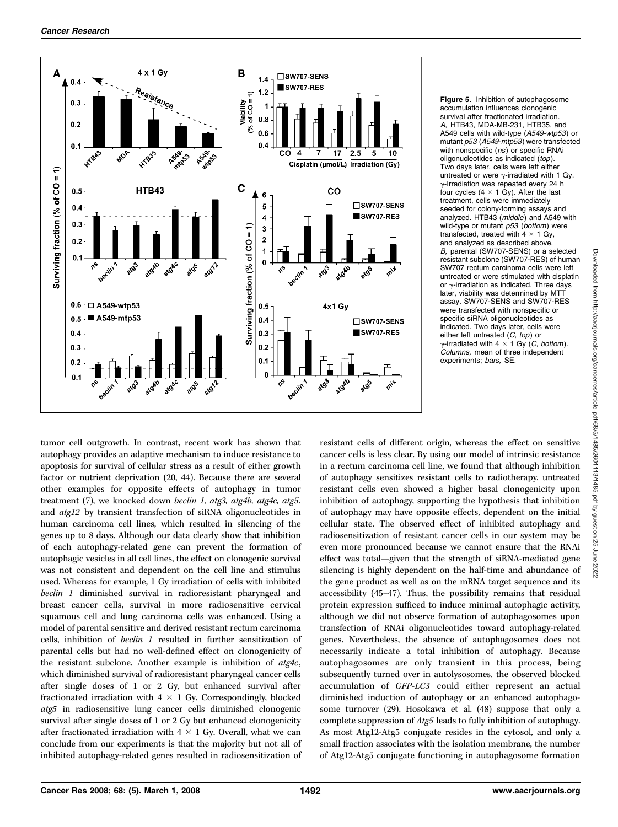![](_page_7_Figure_1.jpeg)

Figure 5. Inhibition of autophagosome accumulation influences clonogenic survival after fractionated irradiation. A, HTB43, MDA-MB-231, HTB35, and A549 cells with wild-type (A549-wtp53) or mutant p53 (A549-mtp53) were transfected with nonspecific (ns) or specific RNAi oligonucleotides as indicated (top). Two days later, cells were left either untreated or were  $\gamma$ -irradiated with 1 Gy.  $\gamma$ -Irradiation was repeated every 24 h four cycles (4  $\times$  1 Gy). After the last treatment, cells were immediately seeded for colony-forming assays and analyzed. HTB43 (middle) and A549 with wild-type or mutant p53 (bottom) were transfected, treated with  $4 \times 1$  Gy, and analyzed as described above. B, parental (SW707-SENS) or a selected resistant subclone (SW707-RES) of human SW707 rectum carcinoma cells were left untreated or were stimulated with cisplatin or  $\gamma$ -irradiation as indicated. Three days later, viability was determined by MTT assay. SW707-SENS and SW707-RES were transfected with nonspecific or specific siRNA oligonucleotides as indicated. Two days later, cells were either left untreated (C, top) or  $\gamma$ -irradiated with 4  $\times$  1 Gy (C, bottom). Columns, mean of three independent experiments; bars, SE.

tumor cell outgrowth. In contrast, recent work has shown that autophagy provides an adaptive mechanism to induce resistance to apoptosis for survival of cellular stress as a result of either growth factor or nutrient deprivation (20, 44). Because there are several other examples for opposite effects of autophagy in tumor treatment (7), we knocked down beclin 1, atg3, atg4b, atg4c, atg5, and atg12 by transient transfection of siRNA oligonucleotides in human carcinoma cell lines, which resulted in silencing of the genes up to 8 days. Although our data clearly show that inhibition of each autophagy-related gene can prevent the formation of autophagic vesicles in all cell lines, the effect on clonogenic survival was not consistent and dependent on the cell line and stimulus used. Whereas for example, 1 Gy irradiation of cells with inhibited beclin 1 diminished survival in radioresistant pharyngeal and breast cancer cells, survival in more radiosensitive cervical squamous cell and lung carcinoma cells was enhanced. Using a model of parental sensitive and derived resistant rectum carcinoma cells, inhibition of beclin 1 resulted in further sensitization of parental cells but had no well-defined effect on clonogenicity of the resistant subclone. Another example is inhibition of atg4c, which diminished survival of radioresistant pharyngeal cancer cells after single doses of 1 or 2 Gy, but enhanced survival after fractionated irradiation with  $4 \times 1$  Gy. Correspondingly, blocked atg5 in radiosensitive lung cancer cells diminished clonogenic survival after single doses of 1 or 2 Gy but enhanced clonogenicity after fractionated irradiation with  $4 \times 1$  Gy. Overall, what we can conclude from our experiments is that the majority but not all of inhibited autophagy-related genes resulted in radiosensitization of resistant cells of different origin, whereas the effect on sensitive cancer cells is less clear. By using our model of intrinsic resistance in a rectum carcinoma cell line, we found that although inhibition of autophagy sensitizes resistant cells to radiotherapy, untreated resistant cells even showed a higher basal clonogenicity upon inhibition of autophagy, supporting the hypothesis that inhibition of autophagy may have opposite effects, dependent on the initial cellular state. The observed effect of inhibited autophagy and radiosensitization of resistant cancer cells in our system may be even more pronounced because we cannot ensure that the RNAi effect was total—given that the strength of siRNA-mediated gene silencing is highly dependent on the half-time and abundance of the gene product as well as on the mRNA target sequence and its accessibility (45–47). Thus, the possibility remains that residual protein expression sufficed to induce minimal autophagic activity, although we did not observe formation of autophagosomes upon transfection of RNAi oligonucleotides toward autophagy-related genes. Nevertheless, the absence of autophagosomes does not necessarily indicate a total inhibition of autophagy. Because autophagosomes are only transient in this process, being subsequently turned over in autolysosomes, the observed blocked accumulation of GFP-LC3 could either represent an actual diminished induction of autophagy or an enhanced autophagosome turnover (29). Hosokawa et al. (48) suppose that only a complete suppression of  $Atg5$  leads to fully inhibition of autophagy. As most Atg12-Atg5 conjugate resides in the cytosol, and only a small fraction associates with the isolation membrane, the number of Atg12-Atg5 conjugate functioning in autophagosome formation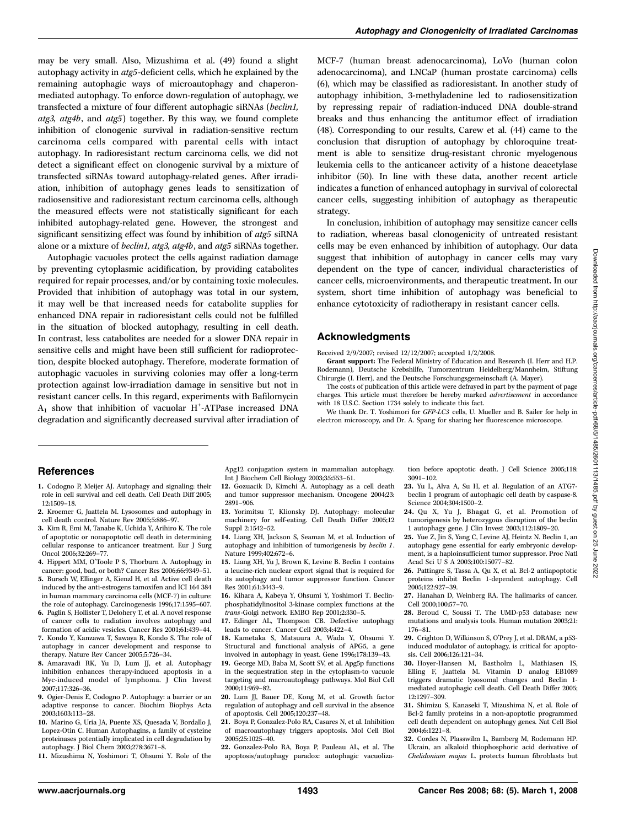may be very small. Also, Mizushima et al. (49) found a slight autophagy activity in atg5-deficient cells, which he explained by the remaining autophagic ways of microautophagy and chaperonmediated autophagy. To enforce down-regulation of autophagy, we transfected a mixture of four different autophagic siRNAs (beclin1, atg3,  $atg4b$ , and  $atg5$ ) together. By this way, we found complete inhibition of clonogenic survival in radiation-sensitive rectum carcinoma cells compared with parental cells with intact autophagy. In radioresistant rectum carcinoma cells, we did not detect a significant effect on clonogenic survival by a mixture of transfected siRNAs toward autophagy-related genes. After irradiation, inhibition of autophagy genes leads to sensitization of radiosensitive and radioresistant rectum carcinoma cells, although the measured effects were not statistically significant for each inhibited autophagy-related gene. However, the strongest and significant sensitizing effect was found by inhibition of atg5 siRNA alone or a mixture of *beclin1*, atg3, atg4b, and atg5 siRNAs together.

Autophagic vacuoles protect the cells against radiation damage by preventing cytoplasmic acidification, by providing catabolites required for repair processes, and/or by containing toxic molecules. Provided that inhibition of autophagy was total in our system, it may well be that increased needs for catabolite supplies for enhanced DNA repair in radioresistant cells could not be fulfilled in the situation of blocked autophagy, resulting in cell death. In contrast, less catabolites are needed for a slower DNA repair in sensitive cells and might have been still sufficient for radioprotection, despite blocked autophagy. Therefore, moderate formation of autophagic vacuoles in surviving colonies may offer a long-term protection against low-irradiation damage in sensitive but not in resistant cancer cells. In this regard, experiments with Bafilomycin  $A_1$  show that inhibition of vacuolar H<sup>+</sup>-ATPase increased DNA degradation and significantly decreased survival after irradiation of MCF-7 (human breast adenocarcinoma), LoVo (human colon adenocarcinoma), and LNCaP(human prostate carcinoma) cells (6), which may be classified as radioresistant. In another study of autophagy inhibition, 3-methyladenine led to radiosensitization by repressing repair of radiation-induced DNA double-strand breaks and thus enhancing the antitumor effect of irradiation (48). Corresponding to our results, Carew et al. (44) came to the conclusion that disruption of autophagy by chloroquine treatment is able to sensitize drug-resistant chronic myelogenous leukemia cells to the anticancer activity of a histone deacetylase inhibitor (50). In line with these data, another recent article indicates a function of enhanced autophagy in survival of colorectal cancer cells, suggesting inhibition of autophagy as therapeutic strategy.

In conclusion, inhibition of autophagy may sensitize cancer cells to radiation, whereas basal clonogenicity of untreated resistant cells may be even enhanced by inhibition of autophagy. Our data suggest that inhibition of autophagy in cancer cells may vary dependent on the type of cancer, individual characteristics of cancer cells, microenvironments, and therapeutic treatment. In our system, short time inhibition of autophagy was beneficial to enhance cytotoxicity of radiotherapy in resistant cancer cells.

#### Acknowledgments

Received 2/9/2007; revised 12/12/2007; accepted 1/2/2008.

Grant support: The Federal Ministry of Education and Research (I. Herr and H.P. Rodemann), Deutsche Krebshilfe, Tumorzentrum Heidelberg/Mannheim, Stiftung Chirurgie (I. Herr), and the Deutsche Forschungsgemeinschaft (A. Mayer).

The costs of publication of this article were defrayed in part by the payment of page charges. This article must therefore be hereby marked advertisement in accordance with 18 U.S.C. Section 1734 solely to indicate this fact.

We thank Dr. T. Yoshimori for GFP-LC3 cells, U. Mueller and B. Sailer for help in electron microscopy, and Dr. A. Spang for sharing her fluorescence microscope.

#### **References**

- 1. Codogno P, Meijer AJ. Autophagy and signaling: their role in cell survival and cell death. Cell Death Diff 2005; 12:1509–18.
- 2. Kroemer G, Jaattela M. Lysosomes and autophagy in cell death control. Nature Rev 2005;5:886–97.
- 3. Kim R, Emi M, Tanabe K, Uchida Y, Arihiro K. The role of apoptotic or nonapoptotic cell death in determining cellular response to anticancer treatment. Eur J Surg Oncol 2006;32:269–77.
- 4. Hippert MM, O'Toole PS, Thorburn A. Autophagy in cancer: good, bad, or both? Cancer Res 2006;66:9349–51.
- 5. Bursch W, Ellinger A, Kienzl H, et al. Active cell death induced by the anti-estrogens tamoxifen and ICI 164 384 in human mammary carcinoma cells (MCF-7) in culture: the role of autophagy. Carcinogenesis 1996;17:1595–607.
- 6. Paglin S, Hollister T, Delohery T, et al. A novel response of cancer cells to radiation involves autophagy and formation of acidic vesicles. Cancer Res 2001;61:439–44.
- 7. Kondo Y, Kanzawa T, Sawaya R, Kondo S. The role of autophagy in cancer development and response to therapy. Nature Rev Cancer 2005;5:726–34.
- 8. Amaravadi RK, Yu D, Lum JJ, et al. Autophagy inhibition enhances therapy-induced apoptosis in a Myc-induced model of lymphoma. J Clin Invest 2007;117:326–36.
- 9. Ogier-Denis E, Codogno P. Autophagy: a barrier or an adaptive response to cancer. Biochim Biophys Acta 2003;1603:113–28.
- 10. Marino G, Uria JA, Puente XS, Quesada V, Bordallo J, Lopez-Otin C. Human Autophagins, a family of cysteine proteinases potentially implicated in cell degradation by autophagy.  $\int$  Biol Chem 2003;278:3671-8.
- 11. Mizushima N, Yoshimori T, Ohsumi Y. Role of the

Apg12 conjugation system in mammalian autophagy. Int J Biochem Cell Biology 2003;35:553–61.

- 12. Gozuacik D, Kimchi A. Autophagy as a cell death and tumor suppressor mechanism. Oncogene 2004;23: 2891–906.
- 13. Yorimitsu T, Klionsky DJ. Autophagy: molecular machinery for self-eating. Cell Death Differ 2005;12 Suppl 2:1542–52.
- 14. Liang XH, Jackson S, Seaman M, et al. Induction of autophagy and inhibition of tumorigenesis by beclin 1. Nature 1999;402:672–6.
- 15. Liang XH, Yu J, Brown K, Levine B. Beclin 1 contains a leucine-rich nuclear export signal that is required for its autophagy and tumor suppressor function. Cancer Res 2001;61:3443–9.
- 16. Kihara A, Kabeya Y, Ohsumi Y, Yoshimori T. Beclinphosphatidylinositol 3-kinase complex functions at the trans-Golgi network. EMBO Rep 2001:2:330-5.
- 17. Edinger AL, Thompson CB. Defective autophagy leads to cancer. Cancer Cell 2003;4:422–4.
- 18. Kametaka S, Matsuura A, Wada Y, Ohsumi Y. Structural and functional analysis of APG5, a gene involved in autophagy in yeast. Gene 1996;178:139–43.
- 19. George MD, Baba M, Scott SV, et al. Apg5p functions in the sequestration step in the cytoplasm-to vacuole targeting and macroautophagy pathways. Mol Biol Cell 2000;11:969–82.
- 20. Lum JJ, Bauer DE, Kong M, et al. Growth factor regulation of autophagy and cell survival in the absence of apoptosis. Cell 2005;120:237–48.
- 21. Boya P, Gonzalez-Polo RA, Casares N, et al. Inhibition of macroautophagy triggers apoptosis. Mol Cell Biol 2005;25:1025–40.
- 22. Gonzalez-Polo RA, Boya P, Pauleau AL, et al. The apoptosis/autophagy paradox: autophagic vacuoliza-

tion before apoptotic death. J Cell Science 2005;118: 3091–102.

- 23. Yu L, Alva A, Su H, et al. Regulation of an ATG7 beclin 1 program of autophagic cell death by caspase-8. Science 2004;304:1500–2.
- 24. Qu X, Yu J, Bhagat G, et al. Promotion of tumorigenesis by heterozygous disruption of the beclin 1 autophagy gene. J Clin Invest 2003;112:1809–20.
- 25. Yue Z, Jin S, Yang C, Levine AJ, Heintz N. Beclin 1, an autophagy gene essential for early embryonic development, is a haploinsufficient tumor suppressor. Proc Natl Acad Sci U S A 2003;100:15077–82.
- 26. Pattingre S, Tassa A, Qu X, et al. Bcl-2 antiapoptotic proteins inhibit Beclin 1-dependent autophagy. Cell 2005;122:927–39.
- 27. Hanahan D, Weinberg RA. The hallmarks of cancer. Cell 2000;100:57–70.
- 28. Beroud C, Soussi T. The UMD-p53 database: new mutations and analysis tools. Human mutation 2003;21: 176–81.
- 29. Crighton D, Wilkinson S, O'Prey J, et al. DRAM, a p53 induced modulator of autophagy, is critical for apoptosis. Cell 2006;126:121–34.
- 30. Hoyer-Hansen M, Bastholm L, Mathiasen IS, Elling F, Jaattela M. Vitamin D analog EB1089 triggers dramatic lysosomal changes and Beclin 1 mediated autophagic cell death. Cell Death Differ 2005; 12:1297–309.
- 31. Shimizu S, Kanaseki T, Mizushima N, et al. Role of Bcl-2 family proteins in a non-apoptotic programmed cell death dependent on autophagy genes. Nat Cell Biol  $2004:6:1221-\overline{8}$ .
- 32. Cordes N, Plasswilm L, Bamberg M, Rodemann HP. Ukrain, an alkaloid thiophosphoric acid derivative of Chelidonium majus L. protects human fibroblasts but